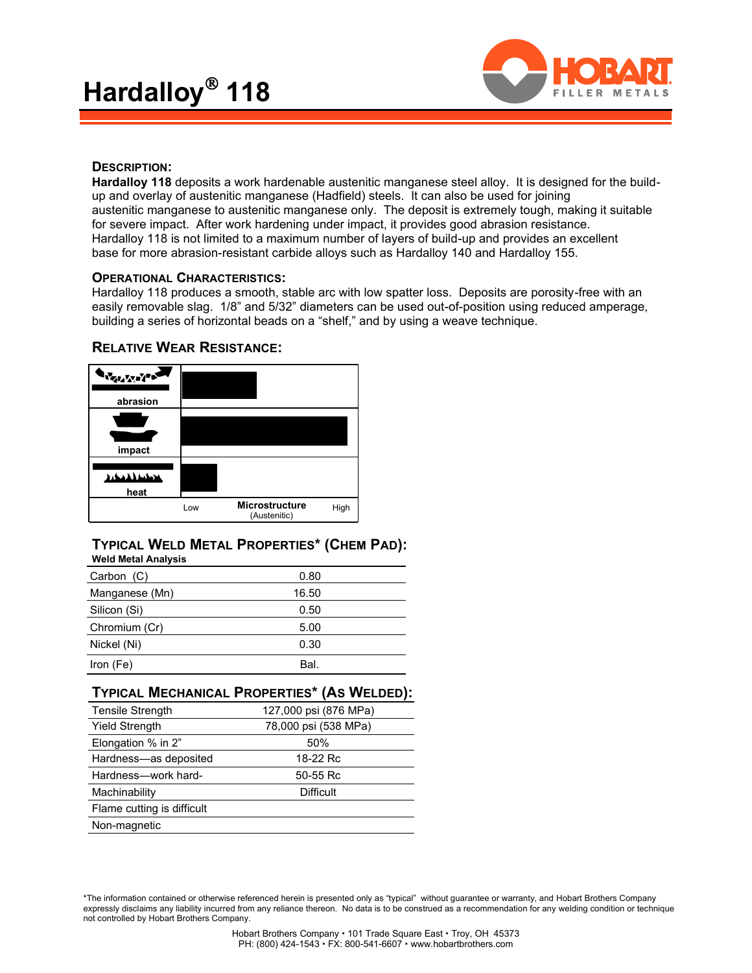

# **DESCRIPTION:**

**Hardalloy 118** deposits a work hardenable austenitic manganese steel alloy. It is designed for the buildup and overlay of austenitic manganese (Hadfield) steels. It can also be used for joining austenitic manganese to austenitic manganese only. The deposit is extremely tough, making it suitable for severe impact. After work hardening under impact, it provides good abrasion resistance. Hardalloy 118 is not limited to a maximum number of layers of build-up and provides an excellent base for more abrasion-resistant carbide alloys such as Hardalloy 140 and Hardalloy 155.

### **OPERATIONAL CHARACTERISTICS:**

Hardalloy 118 produces a smooth, stable arc with low spatter loss. Deposits are porosity-free with an easily removable slag. 1/8" and 5/32" diameters can be used out-of-position using reduced amperage, building a series of horizontal beads on a "shelf," and by using a weave technique.



# **RELATIVE WEAR RESISTANCE:**

### **TYPICAL WELD METAL PROPERTIES\* (CHEM PAD): Weld Metal Analysis**

| Carbon (C)     | 0.80  |  |
|----------------|-------|--|
| Manganese (Mn) | 16.50 |  |
| Silicon (Si)   | 0.50  |  |
| Chromium (Cr)  | 5.00  |  |
| Nickel (Ni)    | 0.30  |  |
| Iron (Fe)      | Bal.  |  |

|                            | <b>TYPICAL MECHANICAL PROPERTIES* (AS WELDED):</b> |
|----------------------------|----------------------------------------------------|
| <b>Tensile Strength</b>    | 127,000 psi (876 MPa)                              |
| <b>Yield Strength</b>      | 78,000 psi (538 MPa)                               |
| Elongation % in 2"         | 50%                                                |
| Hardness-as deposited      | 18-22 Rc                                           |
| Hardness-work hard-        | 50-55 Rc                                           |
| Machinability              | Difficult                                          |
| Flame cutting is difficult |                                                    |
| Non-magnetic               |                                                    |

\*The information contained or otherwise referenced herein is presented only as "typical" without guarantee or warranty, and Hobart Brothers Company expressly disclaims any liability incurred from any reliance thereon. No data is to be construed as a recommendation for any welding condition or technique not controlled by Hobart Brothers Company.